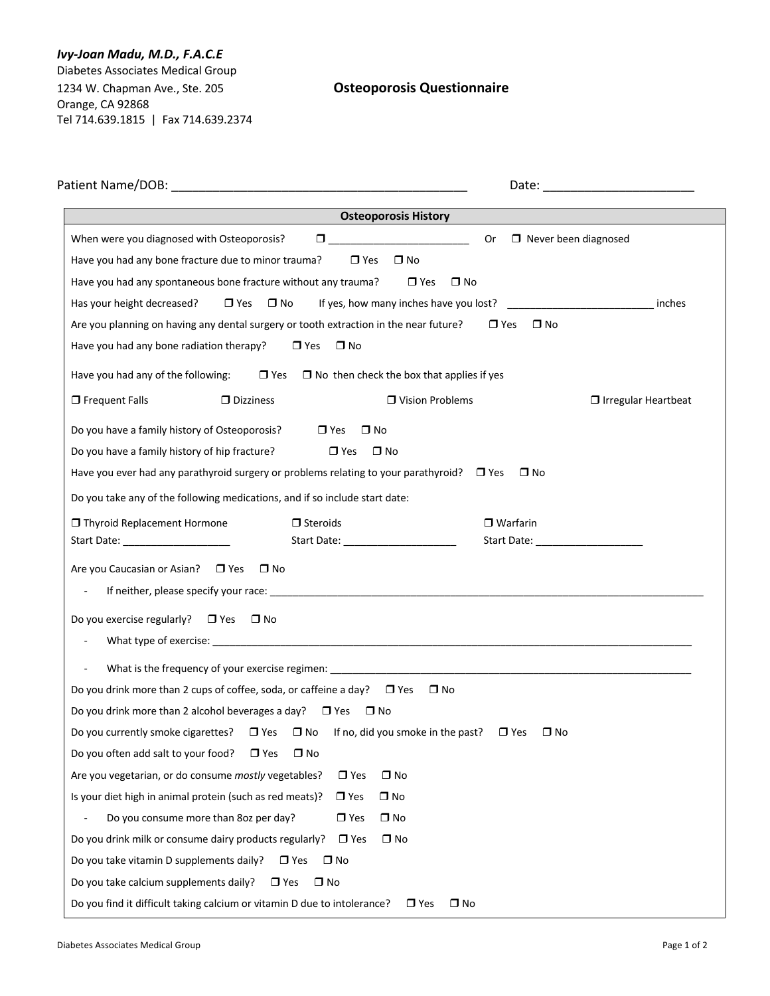## *Ivy-Joan Madu, M.D., F.A.C.E*

Diabetes Associates Medical Group 1234 W. Chapman Ave., Ste. 205 **Osteoporosis Questionnaire** Orange, CA 92868 Tel 714.639.1815 | Fax 714.639.2374

|                                                                                                                                                                                                                   | <b>Osteoporosis History</b>                                                                                                                                                                                                                                                                   |                                                       |                            |
|-------------------------------------------------------------------------------------------------------------------------------------------------------------------------------------------------------------------|-----------------------------------------------------------------------------------------------------------------------------------------------------------------------------------------------------------------------------------------------------------------------------------------------|-------------------------------------------------------|----------------------------|
| When were you diagnosed with Osteoporosis?<br>Have you had any bone fracture due to minor trauma?<br>Have you had any spontaneous bone fracture without any trauma?                                               | $\Box$ . The contract of the contract of $\Box$ . The contract of the contract of the contract of the contract of the contract of the contract of the contract of the contract of the contract of the contract of the contract of<br>$\Box$ Yes<br>$\square$ No<br>$\Box$ Yes<br>$\square$ No | <b>Or</b><br>$\Box$ Never been diagnosed              |                            |
| Has your height decreased?<br>$\Box$ Yes $\Box$ No<br>Are you planning on having any dental surgery or tooth extraction in the near future?<br>Have you had any bone radiation therapy?<br>$\Box$ Yes             | $\square$ No                                                                                                                                                                                                                                                                                  | $\square$ No<br>$\Box$ Yes                            | inches                     |
| $\Box$ Yes<br>Have you had any of the following:                                                                                                                                                                  | $\Box$ No then check the box that applies if yes                                                                                                                                                                                                                                              |                                                       |                            |
| $\Box$ Frequent Falls<br>$\Box$ Dizziness                                                                                                                                                                         | □ Vision Problems                                                                                                                                                                                                                                                                             |                                                       | $\Box$ Irregular Heartbeat |
| Do you have a family history of Osteoporosis?<br>$\Box$ Yes<br>Do you have a family history of hip fracture?<br>Have you ever had any parathyroid surgery or problems relating to your parathyroid? $\square$ Yes | $\square$ No<br>$\Box$ Yes<br>$\Box$ No                                                                                                                                                                                                                                                       | $\square$ No                                          |                            |
| Do you take any of the following medications, and if so include start date:                                                                                                                                       |                                                                                                                                                                                                                                                                                               |                                                       |                            |
| $\Box$ Steroids<br>□ Thyroid Replacement Hormone<br>Start Date: ______________________                                                                                                                            | Start Date: _______________________                                                                                                                                                                                                                                                           | $\Box$ Warfarin<br>Start Date: ______________________ |                            |
| Are you Caucasian or Asian? D Yes<br>$\square$ No<br>Do you exercise regularly? $\Box$ Yes $\Box$ No                                                                                                              |                                                                                                                                                                                                                                                                                               |                                                       |                            |
| $\blacksquare$                                                                                                                                                                                                    |                                                                                                                                                                                                                                                                                               |                                                       |                            |
| Do you drink more than 2 cups of coffee, soda, or caffeine a day? $\Box$ Yes                                                                                                                                      | $\square$ No                                                                                                                                                                                                                                                                                  |                                                       |                            |
| Do you drink more than 2 alcohol beverages a day? $\Box$ Yes $\Box$ No                                                                                                                                            |                                                                                                                                                                                                                                                                                               |                                                       |                            |
| Do you currently smoke cigarettes? $\Box$ Yes $\Box$ No If no, did you smoke in the past?                                                                                                                         |                                                                                                                                                                                                                                                                                               | $\Box$ Yes<br>$\square$ No                            |                            |
| Do you often add salt to your food?<br>$\square$ No<br>$\Box$ Yes                                                                                                                                                 |                                                                                                                                                                                                                                                                                               |                                                       |                            |
| Are you vegetarian, or do consume mostly vegetables?                                                                                                                                                              | $\Box$ No<br>$\Box$ Yes                                                                                                                                                                                                                                                                       |                                                       |                            |
| Is your diet high in animal protein (such as red meats)?                                                                                                                                                          | $\Box$ No<br>$\Box$ Yes                                                                                                                                                                                                                                                                       |                                                       |                            |
| Do you consume more than 8oz per day?                                                                                                                                                                             | $\Box$ Yes<br>$\Box$ No                                                                                                                                                                                                                                                                       |                                                       |                            |
| Do you drink milk or consume dairy products regularly?                                                                                                                                                            | $\Box$ Yes<br>$\Box$ No                                                                                                                                                                                                                                                                       |                                                       |                            |
| Do you take vitamin D supplements daily?<br>$\Box$ Yes<br>$\square$ No                                                                                                                                            |                                                                                                                                                                                                                                                                                               |                                                       |                            |
| Do you take calcium supplements daily?<br>$\Box$ Yes<br>$\square$ No                                                                                                                                              |                                                                                                                                                                                                                                                                                               |                                                       |                            |
| Do you find it difficult taking calcium or vitamin D due to intolerance?                                                                                                                                          | $\Box$ No<br>$\Box$ Yes                                                                                                                                                                                                                                                                       |                                                       |                            |